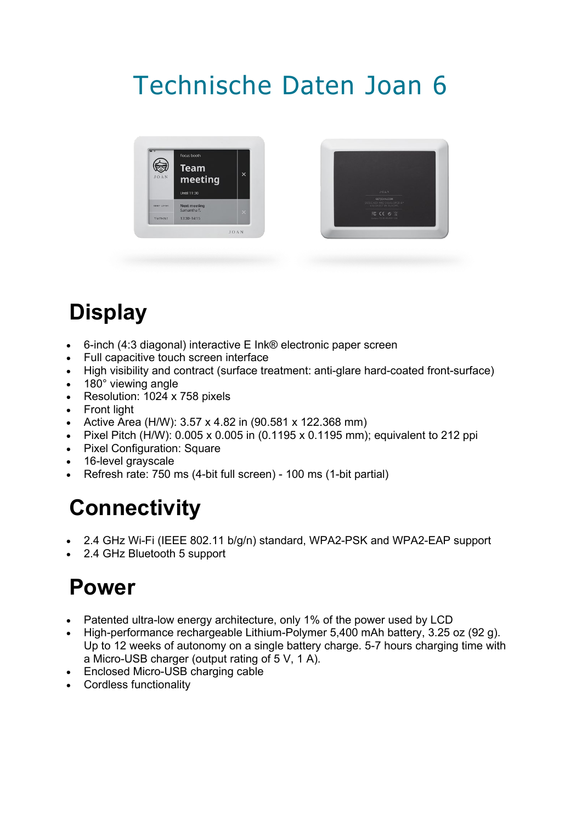# Technische Daten Joan 6





# **Display**

- 6-inch (4:3 diagonal) interactive E Ink® electronic paper screen
- Full capacitive touch screen interface
- High visibility and contract (surface treatment: anti-glare hard-coated front-surface)
- 180° viewing angle
- Resolution: 1024 x 758 pixels
- Front light
- Active Area (H/W): 3.57 x 4.82 in (90.581 x 122.368 mm)
- Pixel Pitch (H/W): 0.005 x 0.005 in (0.1195 x 0.1195 mm); equivalent to 212 ppi
- Pixel Configuration: Square
- 16-level grayscale
- Refresh rate: 750 ms (4-bit full screen) 100 ms (1-bit partial)

#### **Connectivity**

- 2.4 GHz Wi-Fi (IEEE 802.11 b/g/n) standard, WPA2-PSK and WPA2-EAP support
- 2.4 GHz Bluetooth 5 support

#### **Power**

- Patented ultra-low energy architecture, only 1% of the power used by LCD
- High-performance rechargeable Lithium-Polymer 5,400 mAh battery, 3.25 oz (92 g). Up to 12 weeks of autonomy on a single battery charge. 5-7 hours charging time with a Micro-USB charger (output rating of 5 V, 1 A).
- Enclosed Micro-USB charging cable
- Cordless functionality